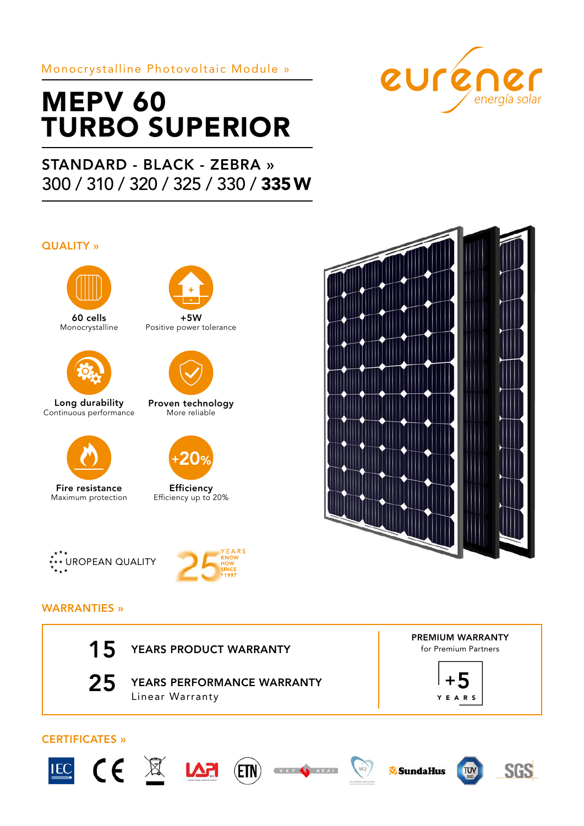## Monocrystalline Photovoltaic Module »

# MEPV 60 TURBO SUPERIOR

## STANDARD - BLACK - ZEBRA » 300 / 310 / 320 / 325 / 330 / 335 W

#### QUALITY »



60 cells Monocrystalline



Long durability Continuous performance



Fire resistance Maximum protection



 $+5W$ Positive power tolerance



Proven technology More reliable



**Efficiency** Efficiency up to 20%



euréner





## WARRANTIES »

15 YEARS PRODUCT WARRANTY



25 YEARS PERFORMANCE WARRANTY Linear Warranty





## CERTIFICATES »